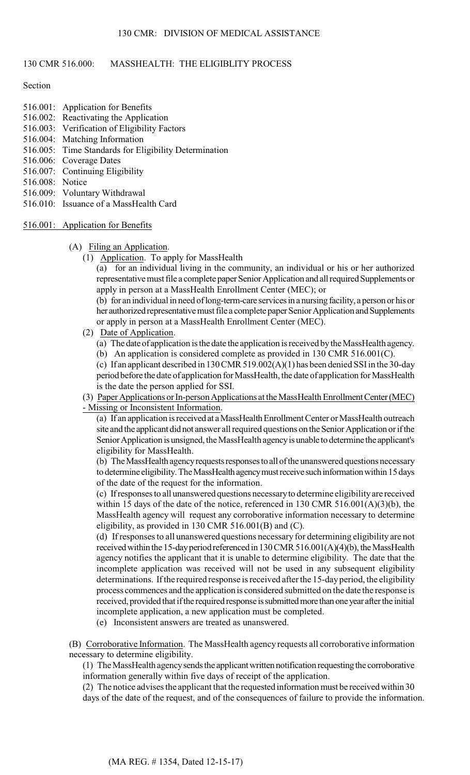# 130 CMR 516.000: MASSHEALTH: THE ELIGIBLITY PROCESS

## Section

- 516.001: Application for Benefits
- 516.002: Reactivating the Application
- 516.003: Verification of Eligibility Factors
- 516.004: Matching Information
- 516.005: Time Standards for Eligibility Determination
- 516.006: Coverage Dates
- 516.007: Continuing Eligibility
- 516.008: Notice
- 516.009: Voluntary Withdrawal
- 516.010: Issuance of a MassHealth Card
- 516.001: Application for Benefits

#### (A) Filing an Application.

(1) Application. To apply for MassHealth

(a) for an individual living in the community, an individual or his or her authorized representative must file a complete paper Senior Application and all required Supplements or apply in person at a MassHealth Enrollment Center (MEC); or

(b) for an individual in need of long-term-care services in a nursing facility, a person or his or her authorized representative must file a complete paper Senior Application and Supplements or apply in person at a MassHealth Enrollment Center (MEC).

- (2) Date of Application.
	- (a) The date of application is the date the application is received by the MassHealth agency. (b) An application is considered complete as provided in 130 CMR 516.001(C).
	-

(c) If an applicant described in 130 CMR 519.002(A)(1) has been denied SSI in the 30-day period before the date of application for MassHealth, the date of application for MassHealth is the date the person applied for SSI.

(3) Paper Applications or In-person Applications at the MassHealth Enrollment Center (MEC) - Missing or Inconsistent Information.

(a) If an application is received at a MassHealth Enrollment Center or MassHealth outreach site and the applicant did not answer all required questions on the Senior Application or if the Senior Application is unsigned, the MassHealth agency is unable to determine the applicant's eligibility for MassHealth.

(b) The MassHealth agency requests responses to all of the unanswered questions necessary to determine eligibility. The MassHealth agency must receive such information within 15 days of the date of the request for the information.

(c) If responses to all unanswered questions necessary to determine eligibility are received within 15 days of the date of the notice, referenced in 130 CMR 516.001(A)(3)(b), the MassHealth agency will request any corroborative information necessary to determine eligibility, as provided in 130 CMR 516.001(B) and (C).

(d) If responses to all unanswered questions necessary for determining eligibility are not received within the 15-day period referenced in  $130$  CMR  $516.001(A)(4)(b)$ , the MassHealth agency notifies the applicant that it is unable to determine eligibility. The date that the incomplete application was received will not be used in any subsequent eligibility determinations. If the required response is received after the 15-day period, the eligibility process commences and the application is considered submitted on the date the response is received, provided that if the required response is submitted more than one year after the initial incomplete application, a new application must be completed.

(e) Inconsistent answers are treated as unanswered.

(B) Corroborative Information. The MassHealth agency requests all corroborative information necessary to determine eligibility.

(1) The MassHealth agency sends the applicant written notification requesting the corroborative information generally within five days of receipt of the application.

(2) The notice advises the applicant that the requested information must be received within 30 days of the date of the request, and of the consequences of failure to provide the information.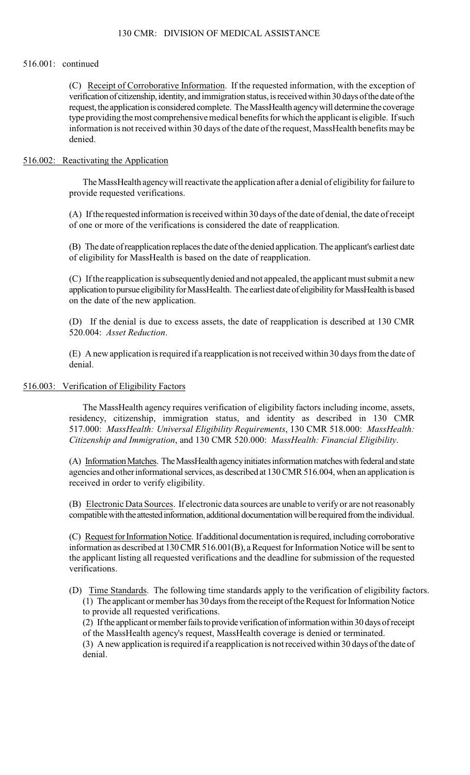## 130 CMR: DIVISION OF MEDICAL ASSISTANCE

#### 516.001: continued

(C) Receipt of Corroborative Information. If the requested information, with the exception of verification of citizenship, identity, and immigration status, is received within 30 days of the date of the request, the application is considered complete. The MassHealth agency will determine the coverage type providing the most comprehensive medical benefits for which the applicant is eligible. If such information is not received within 30 days of the date of the request, MassHealth benefits may be denied.

# 516.002: Reactivating the Application

The MassHealth agency will reactivate the application after a denial of eligibility for failure to provide requested verifications.

(A) If the requested information is received within 30 days of the date of denial, the date of receipt of one or more of the verifications is considered the date of reapplication.

(B) The date of reapplication replaces the date of the denied application. The applicant's earliest date of eligibility for MassHealth is based on the date of reapplication.

(C) If the reapplication is subsequently denied and not appealed, the applicant must submit a new application to pursue eligibility for MassHealth. The earliest date of eligibility for MassHealth is based on the date of the new application.

 (D) If the denial is due to excess assets, the date of reapplication is described at 130 CMR 520.004: *Asset Reduction*.

(E) A new application is required if a reapplication is not received within 30 days from the date of denial.

# 516.003: Verification of Eligibility Factors

 The MassHealth agency requires verification of eligibility factors including income, assets, residency, citizenship, immigration status, and identity as described in 130 CMR 517.000: *MassHealth: Universal Eligibility Requirements*, 130 CMR 518.000: *MassHealth: Citizenship and Immigration*, and 130 CMR 520.000: *MassHealth: Financial Eligibility*.

(A) Information Matches. The MassHealth agency initiates information matches with federal and state agencies and other informational services, as described at 130 CMR 516.004, when an application is received in order to verify eligibility.

(B) Electronic Data Sources. If electronic data sources are unable to verify or are not reasonably compatible with the attested information, additional documentation will be required from the individual.

(C) Request for Information Notice. If additional documentation is required, including corroborative information as described at 130 CMR 516.001(B), a Request for Information Notice will be sent to the applicant listing all requested verifications and the deadline for submission of the requested verifications.

(D) Time Standards. The following time standards apply to the verification of eligibility factors. (1) The applicant or member has 30 days from the receipt of the Request for Information Notice to provide all requested verifications.

(2) If the applicant or member fails to provide verification of information within 30 days of receipt of the MassHealth agency's request, MassHealth coverage is denied or terminated.

(3) A new application is required if a reapplication is not received within 30 days of the date of denial.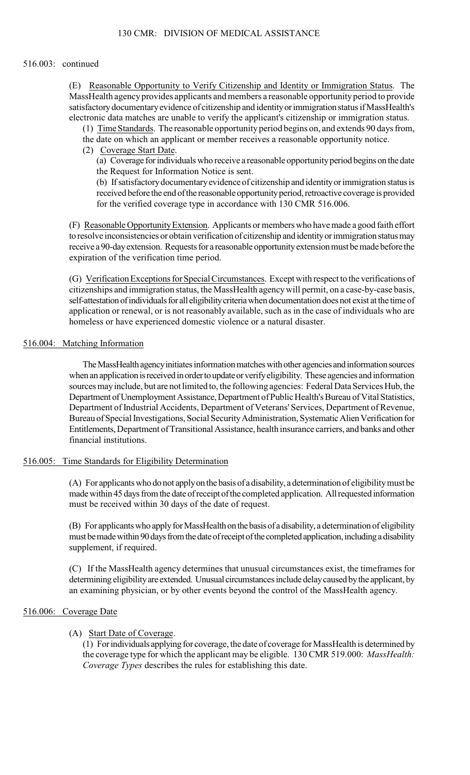### 516.003: continued

(E) Reasonable Opportunity to Verify Citizenship and Identity or Immigration Status. The MassHealth agency provides applicants and members a reasonable opportunity period to provide satisfactory documentary evidence of citizenship and identity or immigration status if MassHealth's electronic data matches are unable to verify the applicant's citizenship or immigration status.

- (1) Time Standards. The reasonable opportunity period begins on, and extends 90 days from,
- the date on which an applicant or member receives a reasonable opportunity notice.
- (2) Coverage Start Date.

(a) Coverage for individuals who receive a reasonable opportunity period begins on the date the Request for Information Notice is sent.

(b) If satisfactory documentary evidence of citizenship and identity or immigration status is received before the end of the reasonable opportunity period, retroactive coverage is provided for the verified coverage type in accordance with 130 CMR 516.006.

(F) Reasonable Opportunity Extension. Applicants or members who have made a good faith effort to resolve inconsistencies or obtain verification of citizenship and identity or immigration status may receive a 90-day extension. Requests for a reasonable opportunity extension must be made before the expiration of the verification time period.

(G) Verification Exceptions for Special Circumstances. Except with respect to the verifications of citizenships and immigration status, the MassHealth agency will permit, on a case-by-case basis, self-attestation of individuals for all eligibility criteria when documentation does not exist at the time of application or renewal, or is not reasonably available, such as in the case of individuals who are homeless or have experienced domestic violence or a natural disaster.

## 516.004: Matching Information

The MassHealth agency initiates information matches with other agencies and information sources when an application is received in order to update or verify eligibility. These agencies and information sources may include, but are not limited to, the following agencies: Federal Data Services Hub, the Department of Unemployment Assistance, Department of Public Health's Bureau of Vital Statistics, Department of Industrial Accidents, Department of Veterans' Services, Department of Revenue, Bureau of Special Investigations, Social Security Administration, Systematic Alien Verification for Entitlements, Department of Transitional Assistance, health insurance carriers, and banks and other financial institutions.

## 516.005: Time Standards for Eligibility Determination

(A) For applicants who do not apply on the basis of a disability, a determination of eligibility must be made within 45 days from the date of receipt of the completed application. All requested information must be received within 30 days of the date of request.

(B) For applicants who apply for MassHealth on the basis of a disability, a determination of eligibility must be made within 90 days from the date of receipt of the completed application, including a disability supplement, if required.

(C) If the MassHealth agency determines that unusual circumstances exist, the timeframes for determining eligibility are extended. Unusual circumstances include delay caused by the applicant, by an examining physician, or by other events beyond the control of the MassHealth agency.

# 516.006: Coverage Date

# (A) Start Date of Coverage.

 the coverage type for which the applicant may be eligible. 130 CMR 519.000: *MassHealth:*  (1) For individuals applying for coverage, the date of coverage for MassHealth is determined by *Coverage Types* describes the rules for establishing this date.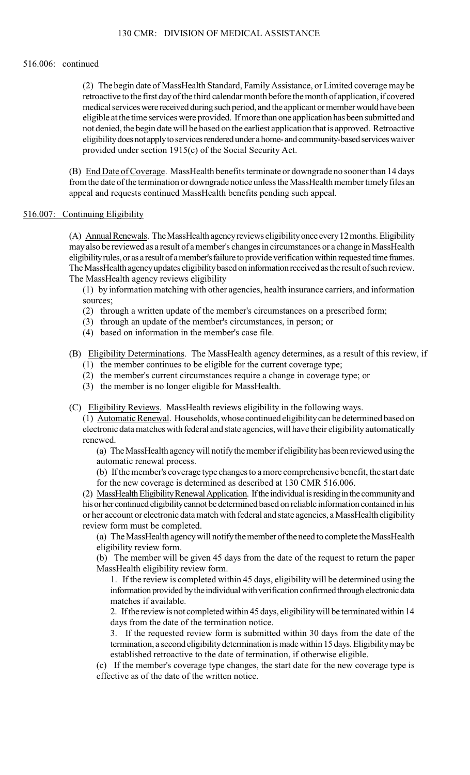### 516.006: continued

(2) The begin date of MassHealth Standard, Family Assistance, or Limited coverage may be retroactive to the first day of the third calendar month before the month of application, if covered medical services were received during such period, and the applicant or member would have been eligible at the time services were provided. If more than one application has been submitted and not denied, the begin date will be based on the earliest application that is approved. Retroactive eligibility does not apply to services rendered under a home- and community-based services waiver provided under section 1915(c) of the Social Security Act.

(B) End Date of Coverage. MassHealth benefits terminate or downgrade no sooner than 14 days from the date of the termination or downgrade notice unless the MassHealth member timely files an appeal and requests continued MassHealth benefits pending such appeal.

# 516.007: Continuing Eligibility

(A) Annual Renewals. The MassHealth agency reviews eligibility once every 12 months. Eligibility may also be reviewed as a result of a member's changes in circumstances or a change in MassHealth eligibility rules, or as a result of a member's failure to provide verification within requested time frames. The MassHealth agency updates eligibility based on information received as the result of such review. The MassHealth agency reviews eligibility

 (1) by information matching with other agencies, health insurance carriers, and information sources;

- (2) through a written update of the member's circumstances on a prescribed form;
- (3) through an update of the member's circumstances, in person; or
- (4) based on information in the member's case file.

# (B) Eligibility Determinations. The MassHealth agency determines, as a result of this review, if

- (1) the member continues to be eligible for the current coverage type;
- (2) the member's current circumstances require a change in coverage type; or
- (3) the member is no longer eligible for MassHealth.
- (C) Eligibility Reviews. MassHealth reviews eligibility in the following ways.

(1) Automatic Renewal. Households, whose continued eligibility can be determined based on electronic data matches with federal and state agencies, will have their eligibility automatically renewed.

(a) The MassHealth agency will notify the member if eligibility has been reviewed using the automatic renewal process.

(b) If the member's coverage type changes to a more comprehensive benefit, the start date for the new coverage is determined as described at 130 CMR 516.006.

(2) MassHealth Eligibility Renewal Application. If the individual is residing in the community and his or her continued eligibility cannot be determined based on reliable information contained in his or her account or electronic data match with federal and state agencies, a MassHealth eligibility review form must be completed.

(a) The MassHealth agency will notify the member of the need to complete the MassHealth eligibility review form.

(b) The member will be given 45 days from the date of the request to return the paper MassHealth eligibility review form.

1. If the review is completed within 45 days, eligibility will be determined using the information provided by the individual with verification confirmed through electronic data matches if available.

2. If the review is not completed within 45 days, eligibility will be terminated within 14 days from the date of the termination notice.

3. If the requested review form is submitted within 30 days from the date of the termination, a second eligibility determination is made within 15 days. Eligibility may be established retroactive to the date of termination, if otherwise eligible.

(c) If the member's coverage type changes, the start date for the new coverage type is effective as of the date of the written notice.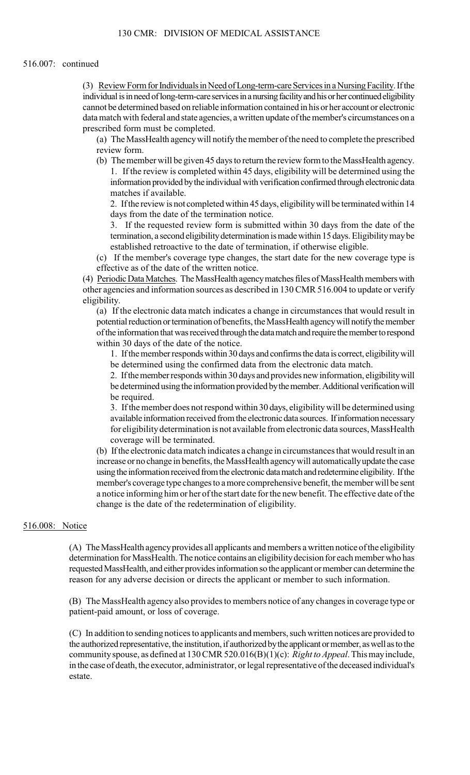#### 516.007: continued

 (3) Review Form for Individuals in Need of Long-term-care Services in a Nursing Facility. If the individual is in need of long-term-care services in a nursing facility and his or her continued eligibility cannot be determined based on reliable information contained in his or her account or electronic data match with federal and state agencies, a written update of the member's circumstances on a prescribed form must be completed.

(a) The MassHealth agency will notify the member of the need to complete the prescribed review form.

(b) The member will be given 45 days to return the review form to the MassHealth agency. 1. If the review is completed within 45 days, eligibility will be determined using the information provided by the individual with verification confirmed through electronic data matches if available.

2. If the review is not completed within 45 days, eligibility will be terminated within 14 days from the date of the termination notice.

3. If the requested review form is submitted within 30 days from the date of the termination, a second eligibility determination is made within 15 days. Eligibility may be established retroactive to the date of termination, if otherwise eligible.

(c) If the member's coverage type changes, the start date for the new coverage type is effective as of the date of the written notice.

(4) Periodic Data Matches. The MassHealth agency matches files of MassHealth members with other agencies and information sources as described in 130 CMR 516.004 to update or verify eligibility.

 (a) If the electronic data match indicates a change in circumstances that would result in potential reduction or termination of benefits, the MassHealth agency will notify the member of the information that was received through the data match and require the member to respond within 30 days of the date of the notice.

1. If the member responds within 30 days and confirms the data is correct, eligibility will be determined using the confirmed data from the electronic data match.

2. If the member responds within 30 days and provides new information, eligibility will be determined using the information provided by the member. Additional verification will be required.

3. If the member does not respond within 30 days, eligibility will be determined using available information received from the electronic data sources. If information necessary for eligibility determination is not available from electronic data sources, MassHealth coverage will be terminated.

 a notice informing him or her of the start date for the new benefit. The effective date of the (b) If the electronic data match indicates a change in circumstances that would result in an increase or no change in benefits, the MassHealth agency will automatically update the case using the information received from the electronic data match and redetermine eligibility. If the member's coverage type changes to a more comprehensive benefit, the member will be sent change is the date of the redetermination of eligibility.

# 516.008: Notice

(A) The MassHealth agency provides all applicants and members a written notice of the eligibility determination for MassHealth. The notice contains an eligibility decision for each member who has requested MassHealth, and either provides information so the applicant or member can determine the reason for any adverse decision or directs the applicant or member to such information.

(B) The MassHealth agency also provides to members notice of any changes in coverage type or patient-paid amount, or loss of coverage.

 community spouse, as defined at 130 CMR 520.016(B)(1)(c): *Right to Appeal*. This may include, (C) In addition to sending notices to applicants and members, such written notices are provided to the authorized representative, the institution, if authorized by the applicant or member, as well as to the in the case of death, the executor, administrator, or legal representative of the deceased individual's estate.